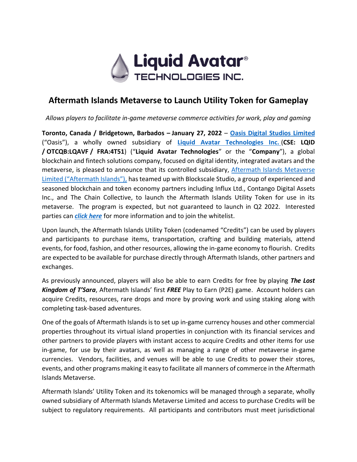

# **Aftermath Islands Metaverse to Launch Utility Token for Gameplay**

*Allows players to facilitate in-game metaverse commerce activities for work, play and gaming*

**Toronto, Canada / Bridgetown, Barbados – January 27, 2022** – **[Oasis Digital Studios](https://oasisdigitalstudios.com/) Limited** ("Oasis"), a wholly owned subsidiary of **[Liquid Avatar Technologies Inc.](https://liquidavatartechnologies.com/)** (**CSE: LQID / OTCQB:LQAVF / FRA:4T51**) ("**Liquid Avatar Technologies**" or the "**Company**"), a global blockchain and fintech solutions company, focused on digital identity, integrated avatars and the metaverse, is pleased to announce that its controlled subsidiary, [Aftermath Islands Metaverse](http://www.aftermathislands.com/) Limited ("Aftermath Islands"), has teamed up with Blockscale Studio, a group of experienced and seasoned blockchain and token economy partners including Influx Ltd., Contango Digital Assets Inc., and The Chain Collective, to launch the Aftermath Islands Utility Token for use in its metaverse. The program is expected, but not guaranteed to launch in Q2 2022. Interested parties can *[click here](https://share.hsforms.com/1VKqDkjQ8T5KQJl6p0C1VhA4rqa5)* for more information and to join the whitelist.

Upon launch, the Aftermath Islands Utility Token (codenamed "Credits") can be used by players and participants to purchase items, transportation, crafting and building materials, attend events, for food, fashion, and other resources, allowing the in-game economy to flourish. Credits are expected to be available for purchase directly through Aftermath Islands, other partners and exchanges.

As previously announced, players will also be able to earn Credits for free by playing *The Lost Kingdom of T'Sara*, Aftermath Islands' first *FREE* Play to Earn (P2E) game. Account holders can acquire Credits, resources, rare drops and more by proving work and using staking along with completing task-based adventures.

One of the goals of Aftermath Islands is to set up in-game currency houses and other commercial properties throughout its virtual island properties in conjunction with its financial services and other partners to provide players with instant access to acquire Credits and other items for use in-game, for use by their avatars, as well as managing a range of other metaverse in-game currencies. Vendors, facilities, and venues will be able to use Credits to power their stores, events, and other programs making it easy to facilitate all manners of commerce in the Aftermath Islands Metaverse.

Aftermath Islands' Utility Token and its tokenomics will be managed through a separate, wholly owned subsidiary of Aftermath Islands Metaverse Limited and access to purchase Credits will be subject to regulatory requirements. All participants and contributors must meet jurisdictional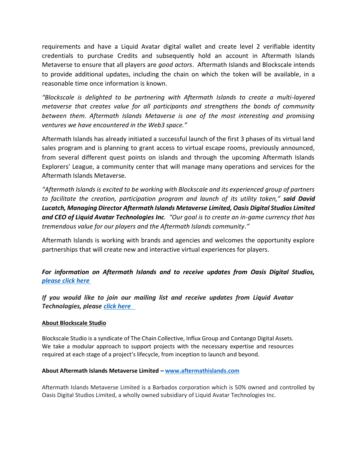requirements and have a Liquid Avatar digital wallet and create level 2 verifiable identity credentials to purchase Credits and subsequently hold an account in Aftermath Islands Metaverse to ensure that all players are *good actors*. Aftermath Islands and Blockscale intends to provide additional updates, including the chain on which the token will be available, in a reasonable time once information is known.

*"Blockscale is delighted to be partnering with Aftermath Islands to create a multi-layered metaverse that creates value for all participants and strengthens the bonds of community between them. Aftermath Islands Metaverse is one of the most interesting and promising ventures we have encountered in the Web3 space."* 

Aftermath Islands has already initiated a successful launch of the first 3 phases of its virtual land sales program and is planning to grant access to virtual escape rooms, previously announced, from several different quest points on islands and through the upcoming Aftermath Islands Explorers' League, a community center that will manage many operations and services for the Aftermath Islands Metaverse.

*"Aftermath Islands is excited to be working with Blockscale and its experienced group of partners to facilitate the creation, participation program and launch of its utility token," said David Lucatch, Managing Director Aftermath Islands Metaverse Limited, Oasis Digital Studios Limited and CEO of Liquid Avatar Technologies Inc. "Our goal is to create an in-game currency that has tremendous value for our players and the Aftermath Islands community."*

Aftermath Islands is working with brands and agencies and welcomes the opportunity explore partnerships that will create new and interactive virtual experiences for players.

## *For information on Aftermath Islands and to receive updates from Oasis Digital Studios, please [click here](https://share.hsforms.com/1bSgqjoO8SjmF58FU9WhPyA4rqa5)*

*If you would like to join our mailing list and receive updates from Liquid Avatar Technologies, please [click here](https://hello.liquidavatar.com/liquid-avatar-updates)* 

### **About Blockscale Studio**

Blockscale Studio is a syndicate of The Chain Collective, Influx Group and Contango Digital Assets. We take a modular approach to support projects with the necessary expertise and resources required at each stage of a project's lifecycle, from inception to launch and beyond.

#### **About Aftermath Islands Metaverse Limited – [www.aftermathislands.com](https://aftermathislands.com/)**

Aftermath Islands Metaverse Limited is a Barbados corporation which is 50% owned and controlled by Oasis Digital Studios Limited, a wholly owned subsidiary of Liquid Avatar Technologies Inc.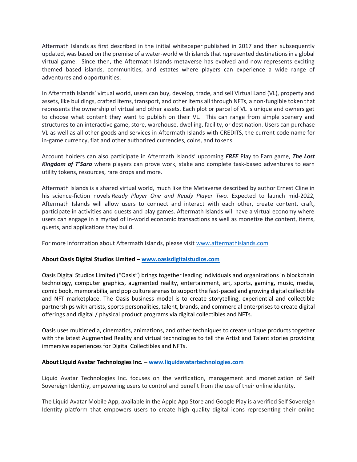Aftermath Islands as first described in the initial whitepaper published in 2017 and then subsequently updated, was based on the premise of a water-world with islands that represented destinations in a global virtual game. Since then, the Aftermath Islands metaverse has evolved and now represents exciting themed based islands, communities, and estates where players can experience a wide range of adventures and opportunities.

In Aftermath Islands' virtual world, users can buy, develop, trade, and sell Virtual Land (VL), property and assets, like buildings, crafted items, transport, and other items all through NFTs, a non-fungible token that represents the ownership of virtual and other assets. Each plot or parcel of VL is unique and owners get to choose what content they want to publish on their VL. This can range from simple scenery and structures to an interactive game, store, warehouse, dwelling, facility, or destination. Users can purchase VL as well as all other goods and services in Aftermath Islands with CREDITS, the current code name for in-game currency, fiat and other authorized currencies, coins, and tokens.

Account holders can also participate in Aftermath Islands' upcoming *FREE* Play to Earn game, *The Lost Kingdom of T'Sara* where players can prove work, stake and complete task-based adventures to earn utility tokens, resources, rare drops and more.

Aftermath Islands is a shared virtual world, much like the Metaverse described by author Ernest Cline in his science-fiction novels *Ready Player One and Ready Player Two*. Expected to launch mid-2022, Aftermath Islands will allow users to connect and interact with each other, create content, craft, participate in activities and quests and play games. Aftermath Islands will have a virtual economy where users can engage in a myriad of in-world economic transactions as well as monetize the content, items, quests, and applications they build.

For more information about Aftermath Islands, please visit [www.aftermathislands.com](https://aftermathislands.com/)

#### **About Oasis Digital Studios Limited – [www.oasisdigitalstudios.com](https://oasisdigitalstudios.com/)**

Oasis Digital Studios Limited ("Oasis") brings together leading individuals and organizations in blockchain technology, computer graphics, augmented reality, entertainment, art, sports, gaming, music, media, comic book, memorabilia, and pop culture arenas to support the fast-paced and growing digital collectible and NFT marketplace. The Oasis business model is to create storytelling, experiential and collectible partnerships with artists, sports personalities, talent, brands, and commercial enterprises to create digital offerings and digital / physical product programs via digital collectibles and NFTs.

Oasis uses multimedia, cinematics, animations, and other techniques to create unique products together with the latest Augmented Reality and virtual technologies to tell the Artist and Talent stories providing immersive experiences for Digital Collectibles and NFTs.

#### **About Liquid Avatar Technologies Inc. – [www.liquidavatartechnologies.com](http://www.liquidavatartechnologies.com/)**

Liquid Avatar Technologies Inc. focuses on the verification, management and monetization of Self Sovereign Identity, empowering users to control and benefit from the use of their online identity.

The Liquid Avatar Mobile App, available in the Apple App Store and Google Play is a verified Self Sovereign Identity platform that empowers users to create high quality digital icons representing their online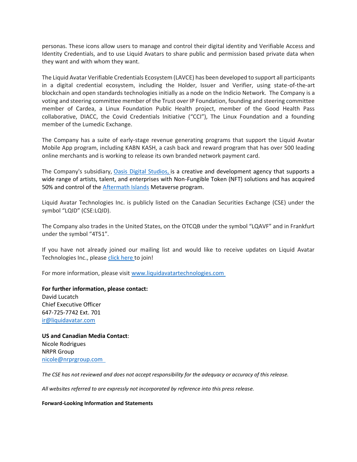personas. These icons allow users to manage and control their digital identity and Verifiable Access and Identity Credentials, and to use Liquid Avatars to share public and permission based private data when they want and with whom they want.

The Liquid Avatar Verifiable Credentials Ecosystem (LAVCE) has been developed to support all participants in a digital credential ecosystem, including the Holder, Issuer and Verifier, using state-of-the-art blockchain and open standards technologies initially as a node on the Indicio Network. The Company is a voting and steering committee member of the Trust over IP Foundation, founding and steering committee member of Cardea, a Linux Foundation Public Health project, member of the Good Health Pass collaborative, DIACC, the Covid Credentials Initiative ("CCI"), The Linux Foundation and a founding member of the Lumedic Exchange.

The Company has a suite of early-stage revenue generating programs that support the Liquid Avatar Mobile App program, including KABN KASH, a cash back and reward program that has over 500 leading online merchants and is working to release its own branded network payment card.

The Company's subsidiary, [Oasis Digital Studios,](https://oasisdigitalstudios.com/) is a creative and development agency that supports a wide range of artists, talent, and enterprises with Non-Fungible Token (NFT) solutions and has acquired 50% and control of the [Aftermath Islands](http://www.aftermathislands.com/) Metaverse program.

Liquid Avatar Technologies Inc. is publicly listed on the Canadian Securities Exchange (CSE) under the symbol "LQID" (CSE:LQID).

The Company also trades in the United States, on the OTCQB under the symbol "LQAVF" and in Frankfurt under the symbol "4T51".

If you have not already joined our mailing list and would like to receive updates on Liquid Avatar Technologies Inc., please [click here](https://hello.liquidavatar.com/liquid-avatar-updates) to join!

For more information, please visit [www.liquidavatartechnologies.com](http://www.liquidavatartechnologies.com/)

**For further information, please contact:** David Lucatch Chief Executive Officer 647-725-7742 Ext. 701 [ir@liquidavatar.com](mailto:ir@liquidavatar.com)

**US and Canadian Media Contact**: Nicole Rodrigues NRPR Group [nicole@nrprgroup.com](mailto:nicole@nrprgroup.com) 

*The CSE has not reviewed and does not accept responsibility for the adequacy or accuracy of this release.*

*All websites referred to are expressly not incorporated by reference into this press release.*

#### **Forward-Looking Information and Statements**